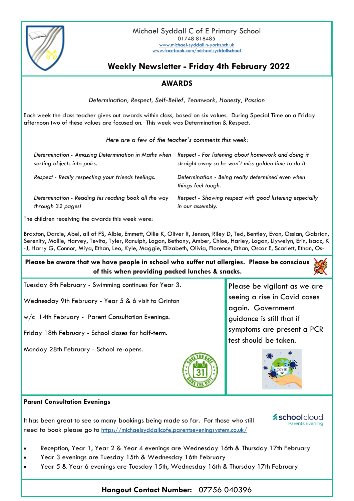

## **Weekly Newsletter - Friday 4th February 2022**

## **AWARDS**

*Determination, Respect, Self-Belief, Teamwork, Honesty, Passion*

Each week the class teacher gives out awards within class, based on six values. During Special Time on a Friday afternoon two of these values are focused on. This week was Determination & Respect.

*Here are a few of the teacher's comments this week:*

| Determination - Amazing Determination in Maths when  | Respect - For listening about homework and doing it                     |
|------------------------------------------------------|-------------------------------------------------------------------------|
| sorting objects into pairs.                          | straight away so he won't miss golden time to do it.                    |
| Respect - Really respecting your friends feelings.   | Determination - Being really determined even when<br>things feel tough. |
| Determination - Reading his reading book all the way | Respect - Showing respect with good listening especially                |
| through 32 pages!                                    | in our assembly.                                                        |

The children receiving the awards this week were:

Braxton, Darcie, Abel, all of FS, Albie, Emmett, Ollie K, Oliver R, Jenson, Riley D, Ted, Bentley, Evan, Ossian, Gabrian, Serenity, Mollie, Harvey, Tevita, Tyler, Ranulph, Logan, Bethany, Amber, Chloe, Harley, Logan, Llywelyn, Erin, Isaac, K -J, Harry G, Connor, Miya, Ethan, Leo, Kyle, Maggie, Elizabeth, Olivia, Florence, Ethan, Oscar E, Scarlett, Ethan, Os-

**Please be aware that we have people in school who suffer nut allergies. Please be conscious of this when providing packed lunches & snacks.**



Wednesday 9th February - Year 5 & 6 visit to Grinton

w/c 14th February - Parent Consultation Evenings.

Friday 18th February - School closes for half-term.

Monday 28th February - School re-opens.



Please be vigilant as we are seeing a rise in Covid cases again. Government guidance is still that if symptoms are present a PCR test should be taken.



## **Parent Consultation Evenings**

It has been great to see so many bookings being made so far. For those who still need to book please go to <https://michaelsyddallcofe.parentseveningsystem.co.uk/>



- Reception, Year 1, Year 2 & Year 4 evenings are Wednesday 16th & Thursday 17th February
- Year 3 evenings are Tuesday 15th & Wednesday 16th February
- Year 5 & Year 6 evenings are Tuesday 15th, Wednesday 16th & Thursday 17th February

## **Hangout Contact Number:** 07756 040396